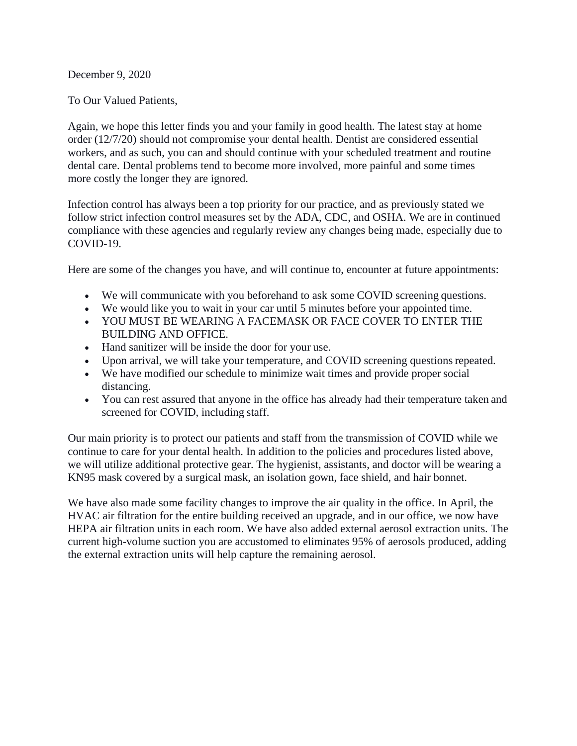December 9, 2020

To Our Valued Patients,

Again, we hope this letter finds you and your family in good health. The latest stay at home order (12/7/20) should not compromise your dental health. Dentist are considered essential workers, and as such, you can and should continue with your scheduled treatment and routine dental care. Dental problems tend to become more involved, more painful and some times more costly the longer they are ignored.

Infection control has always been a top priority for our practice, and as previously stated we follow strict infection control measures set by the ADA, CDC, and OSHA. We are in continued compliance with these agencies and regularly review any changes being made, especially due to COVID-19.

Here are some of the changes you have, and will continue to, encounter at future appointments:

- We will communicate with you beforehand to ask some COVID screening questions.
- We would like you to wait in your car until 5 minutes before your appointed time.
- YOU MUST BE WEARING A FACEMASK OR FACE COVER TO ENTER THE BUILDING AND OFFICE.
- Hand sanitizer will be inside the door for your use.
- Upon arrival, we will take your temperature, and COVID screening questions repeated.
- We have modified our schedule to minimize wait times and provide proper social distancing.
- You can rest assured that anyone in the office has already had their temperature taken and screened for COVID, including staff.

Our main priority is to protect our patients and staff from the transmission of COVID while we continue to care for your dental health. In addition to the policies and procedures listed above, we will utilize additional protective gear. The hygienist, assistants, and doctor will be wearing a KN95 mask covered by a surgical mask, an isolation gown, face shield, and hair bonnet.

We have also made some facility changes to improve the air quality in the office. In April, the HVAC air filtration for the entire building received an upgrade, and in our office, we now have HEPA air filtration units in each room. We have also added external aerosol extraction units. The current high-volume suction you are accustomed to eliminates 95% of aerosols produced, adding the external extraction units will help capture the remaining aerosol.